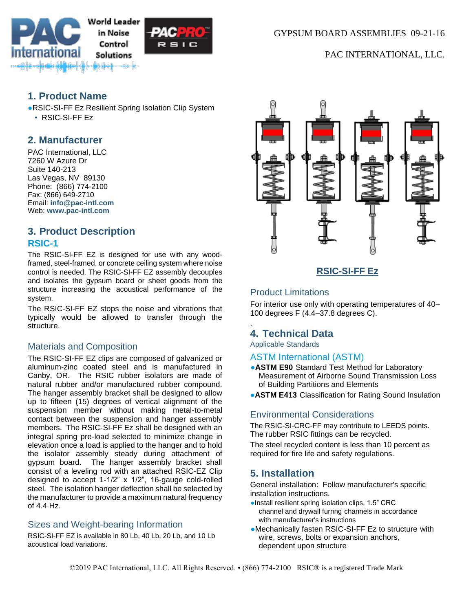



PAC INTERNATIONAL, LLC.

# **1. Product Name**

●RSIC-SI-FF Ez Resilient Spring Isolation Clip System • RSIC-SI-FF Ez

# **2. Manufacturer**

PAC International, LLC 7260 W Azure Dr Suite 140-213 Las Vegas, NV 89130 Phone: (866) 774-2100 Fax: (866) 649-2710 Email: **[info@pac-intl.com](mailto:info%40pac-intl.com?subject=SpecData%20inquiry)** Web: **[www.pac-intl.com](http://www.pac-intl.com/)**

# **3. Product Description RSIC-1**

The RSIC-SI-FF EZ is designed for use with any woodframed, steel-framed, or concrete ceiling system where noise control is needed. The RSIC-SI-FF EZ assembly decouples and isolates the gypsum board or sheet goods from the structure increasing the acoustical performance of the system.

The RSIC-SI-FF EZ stops the noise and vibrations that typically would be allowed to transfer through the structure.

### Materials and Composition

The RSIC-SI-FF EZ clips are composed of galvanized or aluminum-zinc coated steel and is manufactured in Canby, OR. The RSIC rubber isolators are made of natural rubber and/or manufactured rubber compound. The hanger assembly bracket shall be designed to allow up to fifteen (15) degrees of vertical alignment of the suspension member without making metal-to-metal contact between the suspension and hanger assembly members. The RSIC-SI-FF Ez shall be designed with an integral spring pre-load selected to minimize change in elevation once a load is applied to the hanger and to hold the isolator assembly steady during attachment of gypsum board. The hanger assembly bracket shall consist of a leveling rod with an attached RSIC-EZ Clip designed to accept 1-1/2" x 1/2", 16-gauge cold-rolled steel. The isolation hanger deflection shall be selected by the manufacturer to provide a maximum natural frequency of 4.4 Hz.

### Sizes and Weight-bearing Information

RSIC-SI-FF EZ is available in 80 Lb, 40 Lb, 20 Lb, and 10 Lb acoustical load variations.



## **RSIC-SI-FF Ez**

## Product Limitations

For interior use only with operating temperatures of 40– 100 degrees F (4.4–37.8 degrees C).

## **4. Technical Data**

Applicable Standards

.

### ASTM International (ASTM)

- **ASTM E90** Standard Test Method for Laboratory Measurement of Airborne Sound Transmission Loss of Building Partitions and Elements
- **•ASTM E413** Classification for Rating Sound Insulation

#### Environmental Considerations

The RSIC-SI-CRC-FF may contribute to LEEDS points. The rubber RSIC fittings can be recycled.

The steel recycled content is less than 10 percent as required for fire life and safety regulations.

## **5. Installation**

General installation: Follow manufacturer's specific installation instructions.

- ●Install resilient spring isolation clips, 1.5" CRC channel and drywall furring channels in accordance with manufacturer's instructions
- ●Mechanically fasten RSIC-SI-FF Ez to structure with wire, screws, bolts or expansion anchors, dependent upon structure